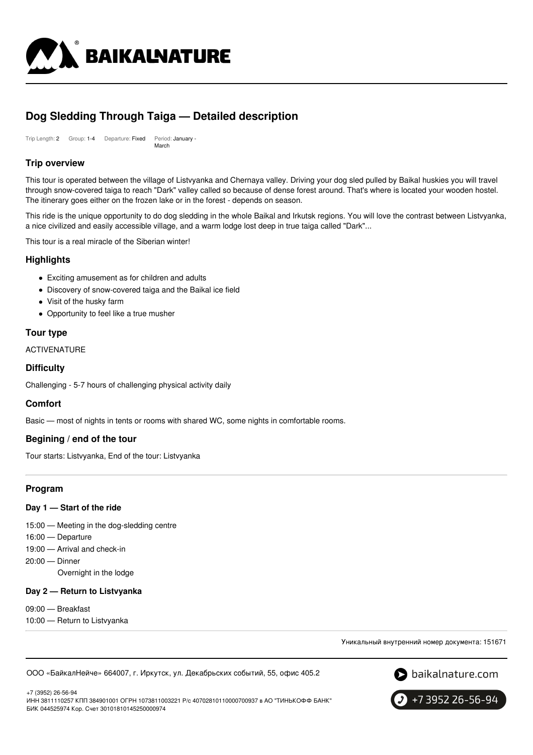

# **Dog Sledding Through Taiga — Detailed description**

Trip Length: 2 Group: 1-4 Departure: Fixed Period: January - March

# **Trip overview**

This tour is operated between the village of Listvyanka and Chernaya valley. Driving your dog sled pulled by Baikal huskies you will travel through snow-covered taiga to reach "Dark" valley called so because of dense forest around. That's where is located your wooden hostel. The itinerary goes either on the frozen lake or in the forest - depends on season.

This ride is the unique opportunity to do dog sledding in the whole Baikal and Irkutsk regions. You will love the contrast between Listvyanka, a nice civilized and easily accessible village, and a warm lodge lost deep in true taiga called "Dark"...

This tour is a real miracle of the Siberian winter!

### **Highlights**

- Exciting amusement as for children and adults
- Discovery of snow-covered taiga and the Baikal ice field
- Visit of the husky farm
- Opportunity to feel like a true musher

### **Tour type**

ACTIVENATURE

### **Difficulty**

Challenging - 5-7 hours of challenging physical activity daily

### **Comfort**

Basic — most of nights in tents or rooms with shared WC, some nights in comfortable rooms.

### **Begining / end of the tour**

Tour starts: Listvyanka, End of the tour: Listvyanka

### **Program**

#### **Day 1 — Start of the ride**

15:00 — Meeting in the dog-sledding centre

- 16:00 Departure
- 19:00 Arrival and check-in
- 20:00 Dinner
	- Overnight in the lodge

### **Day 2 — Return to Listvyanka**

- 09:00 Breakfast
- 10:00 Return to Listvyanka

Уникальный внутренний номер документа: 151671

ООО «БайкалНейче» 664007, г. Иркутск, ул. Декабрьских событий, 55, офис 405.2



+7 (3952) 26-56-94

ИНН 3811110257 КПП 384901001 ОГРН 1073811003221 Р/с 40702810110000700937 в АО "ТИНЬКОФФ БАНК" БИК 044525974 Кор. Счет 30101810145250000974

+7 3952 26-56-94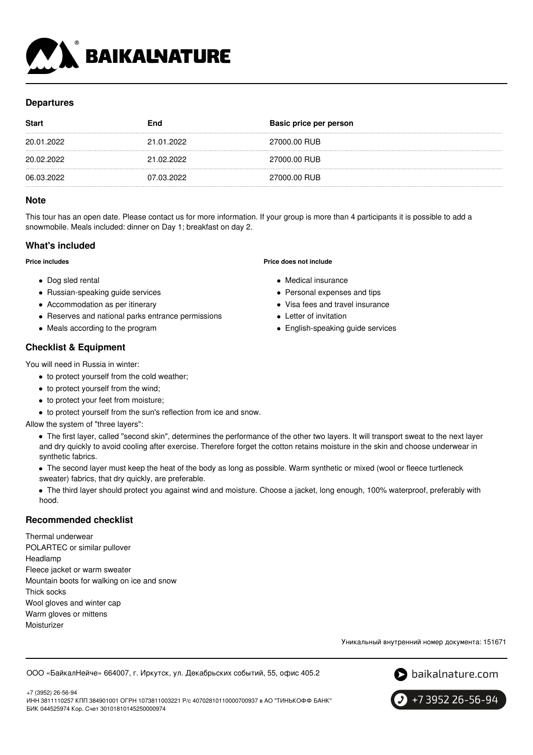

# **Departures**

| <b>Start</b> | End        | Basic price per person |
|--------------|------------|------------------------|
| 20.01.2022   | 21.01.2022 | 27000.00 RUB           |
| 20.02.2022   | 21.02.2022 | 27000.00 RUB           |
| 06.03.2022   | 07.03.2022 | 27000.00 RUB           |

### **Note**

This tour has an open date. Please contact us for more information. If your group is more than 4 participants it is possible to add a snowmobile. Meals included: dinner on Day 1; breakfast on day 2.

# **What's included**

**Price includes**

- Dog sled rental
- Russian-speaking guide services
- Accommodation as per itinerary
- Reserves and national parks entrance permissions
- Meals according to the program

# **Checklist & Equipment**

You will need in Russia in winter:

- to protect yourself from the cold weather;
- to protect yourself from the wind;
- to protect your feet from moisture;
- to protect yourself from the sun's reflection from ice and snow.

Allow the system of "three layers":

The first layer, called "second skin", determines the performance of the other two layers. It will transport sweat to the next layer and dry quickly to avoid cooling after exercise. Therefore forget the cotton retains moisture in the skin and choose underwear in synthetic fabrics.

• The second layer must keep the heat of the body as long as possible. Warm synthetic or mixed (wool or fleece turtleneck sweater) fabrics, that dry quickly, are preferable.

The third layer should protect you against wind and moisture. Choose a jacket, long enough, 100% waterproof, preferably with hood.

### **Recommended checklist**

Thermal underwear POLARTEC or similar pullover Headlamp Fleece jacket or warm sweater Mountain boots for walking on ice and snow Thick socks Wool gloves and winter cap Warm gloves or mittens Moisturizer

Уникальный внутренний номер документа: 151671

ООО «БайкалНейче» 664007, г. Иркутск, ул. Декабрьских событий, 55, офис 405.2



+7 (3952) 26-56-94 ИНН 3811110257 КПП 384901001 ОГРН 1073811003221 Р/с 40702810110000700937 в АО "ТИНЬКОФФ БАНК" БИК 044525974 Кор. Счет 30101810145250000974



**Price does not include**

- Medical insurance
- Personal expenses and tips
- Visa fees and travel insurance
- Letter of invitation
- English-speaking guide services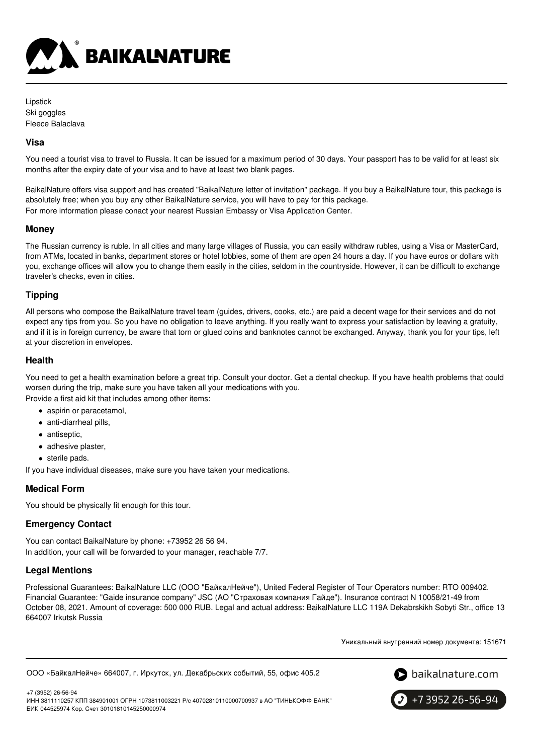

Lipstick Ski goggles Fleece Balaclava

### **Visa**

You need a tourist visa to travel to Russia. It can be issued for a maximum period of 30 days. Your passport has to be valid for at least six months after the expiry date of your visa and to have at least two blank pages.

BaikalNature offers visa support and has created "BaikalNature letter of invitation" package. If you buy a BaikalNature tour, this package is absolutely free; when you buy any other BaikalNature service, you will have to pay for this package. For more information please conact your nearest Russian Embassy or Visa Application Center.

#### **Money**

The Russian currency is ruble. In all cities and many large villages of Russia, you can easily withdraw rubles, using a Visa or MasterCard, from ATMs, located in banks, department stores or hotel lobbies, some of them are open 24 hours a day. If you have euros or dollars with you, exchange offices will allow you to change them easily in the cities, seldom in the countryside. However, it can be difficult to exchange traveler's checks, even in cities.

### **Tipping**

All persons who compose the BaikalNature travel team (guides, drivers, cooks, etc.) are paid a decent wage for their services and do not expect any tips from you. So you have no obligation to leave anything. If you really want to express your satisfaction by leaving a gratuity, and if it is in foreign currency, be aware that torn or glued coins and banknotes cannot be exchanged. Anyway, thank you for your tips, left at your discretion in envelopes.

### **Health**

You need to get a health examination before a great trip. Consult your doctor. Get a dental checkup. If you have health problems that could worsen during the trip, make sure you have taken all your medications with you. Provide a first aid kit that includes among other items:

- aspirin or paracetamol,
- anti-diarrheal pills,
- antiseptic,
- adhesive plaster,
- sterile pads.

If you have individual diseases, make sure you have taken your medications.

### **Medical Form**

You should be physically fit enough for this tour.

# **Emergency Contact**

You can contact BaikalNature by phone: +73952 26 56 94. In addition, your call will be forwarded to your manager, reachable 7/7.

# **Legal Mentions**

Professional Guarantees: BaikalNature LLC (ООО "БайкалНейче"), United Federal Register of Tour Operators number: RTO 009402. Financial Guarantee: "Gaide insurance company" JSC (АО "Страховая компания Гайде"). Insurance contract N 10058/21-49 from October 08, 2021. Amount of coverage: 500 000 RUB. Legal and actual address: BaikalNature LLC 119А Dekabrskikh Sobyti Str., office 13 664007 Irkutsk Russia

Уникальный внутренний номер документа: 151671

```
ООО «БайкалНейче» 664007, г. Иркутск, ул. Декабрьских событий, 55, офис 405.2
```